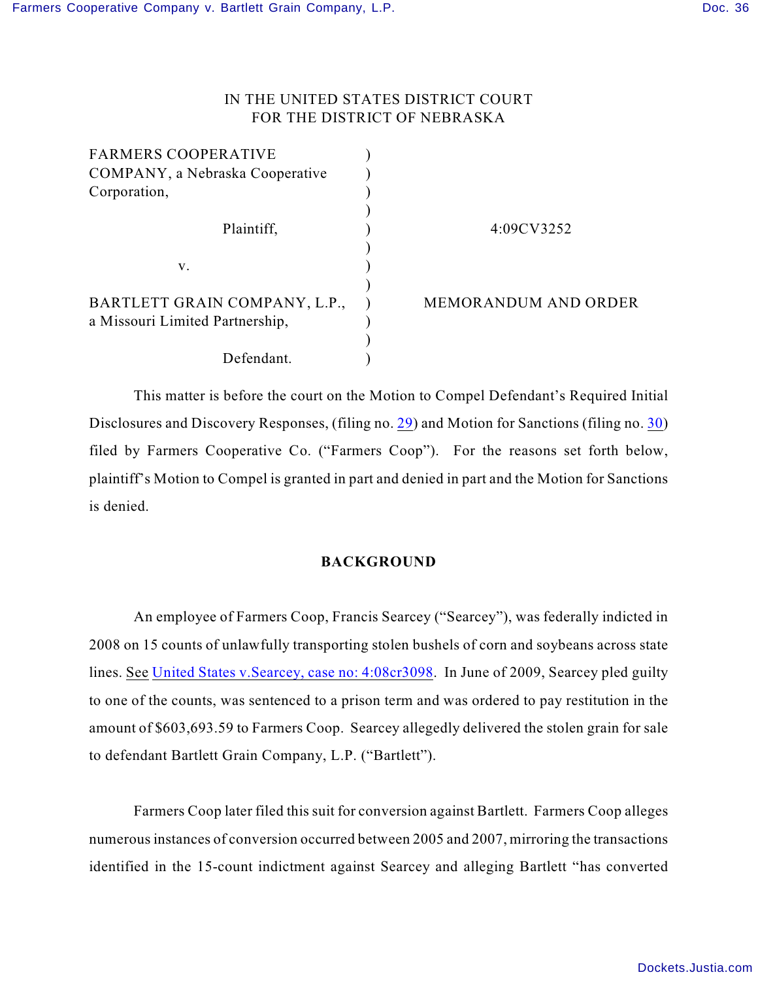# IN THE UNITED STATES DISTRICT COURT FOR THE DISTRICT OF NEBRASKA

| <b>FARMERS COOPERATIVE</b>                                       |                             |
|------------------------------------------------------------------|-----------------------------|
| COMPANY, a Nebraska Cooperative                                  |                             |
| Corporation,                                                     |                             |
| Plaintiff,                                                       | 4:09CV3252                  |
| V.                                                               |                             |
| BARTLETT GRAIN COMPANY, L.P.,<br>a Missouri Limited Partnership, | <b>MEMORANDUM AND ORDER</b> |
| Defendant.                                                       |                             |

This matter is before the court on the Motion to Compel Defendant's Required Initial Disclosures and Discovery Responses, (filing no. [29](http://ecf.ned.uscourts.gov/doc1/11302187413)) and Motion for Sanctions (filing no. [30](http://ecf.ned.uscourts.gov/doc1/11302187433)) filed by Farmers Cooperative Co. ("Farmers Coop"). For the reasons set forth below, plaintiff's Motion to Compel is granted in part and denied in part and the Motion for Sanctions is denied.

# **BACKGROUND**

An employee of Farmers Coop, Francis Searcey ("Searcey"), was federally indicted in 2008 on 15 counts of unlawfully transporting stolen bushels of corn and soybeans across state lines. See United States v. Searcey, case no: 4:08cr3098. In June of 2009, Searcey pled guilty to one of the counts, was sentenced to a prison term and was ordered to pay restitution in the amount of \$603,693.59 to Farmers Coop. Searcey allegedly delivered the stolen grain for sale to defendant Bartlett Grain Company, L.P. ("Bartlett").

Farmers Coop later filed this suit for conversion against Bartlett. Farmers Coop alleges numerous instances of conversion occurred between 2005 and 2007, mirroring the transactions identified in the 15-count indictment against Searcey and alleging Bartlett "has converted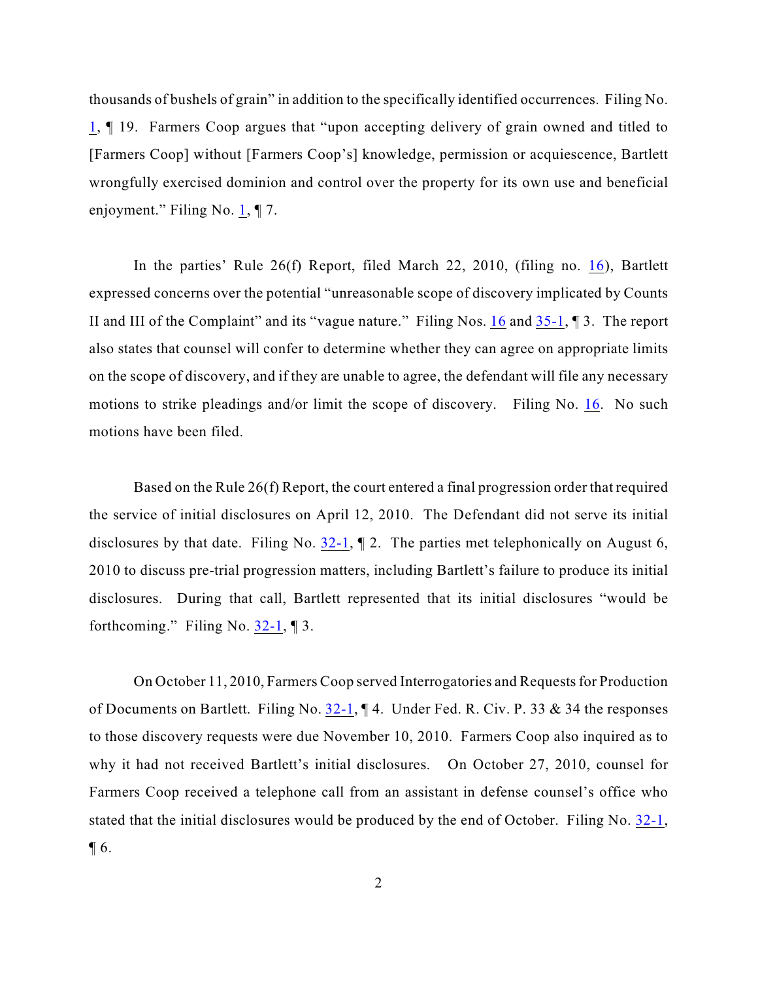thousands of bushels of grain" in addition to the specifically identified occurrences. Filing No.  $1,$  $1,$   $\parallel$  19. Farmers Coop argues that "upon accepting delivery of grain owned and titled to [Farmers Coop] without [Farmers Coop's] knowledge, permission or acquiescence, Bartlett wrongfully exercised dominion and control over the property for its own use and beneficial enjoyment." Filing No.  $1, \mathcal{F}$  7.

In the parties' Rule 26(f) Report, filed March 22, 2010, (filing no. [16](http://ecf.ned.uscourts.gov/doc1/11301977416)), Bartlett expressed concerns over the potential "unreasonable scope of discovery implicated by Counts II and III of the Complaint" and its "vague nature." Filing Nos. [16](https://ecf.ned.uscourts.gov/doc1/11311977416) and [35-1](https://ecf.ned.uscourts.gov/doc1/11312190073), ¶ 3. The report also states that counsel will confer to determine whether they can agree on appropriate limits on the scope of discovery, and if they are unable to agree, the defendant will file any necessary motions to strike pleadings and/or limit the scope of discovery. Filing No. [16](https://ecf.ned.uscourts.gov/doc1/11311977416). No such motions have been filed.

Based on the Rule 26(f) Report, the court entered a final progression order that required the service of initial disclosures on April 12, 2010. The Defendant did not serve its initial disclosures by that date. Filing No.  $32-1$ ,  $\parallel$  2. The parties met telephonically on August 6, 2010 to discuss pre-trial progression matters, including Bartlett's failure to produce its initial disclosures. During that call, Bartlett represented that its initial disclosures "would be forthcoming." Filing No.  $32-1$ , 13.

On October 11, 2010, Farmers Coop served Interrogatories and Requests for Production of Documents on Bartlett. Filing No. [32-1](https://ecf.ned.uscourts.gov/doc1/11312187502), ¶ 4. Under Fed. R. Civ. P. 33 & 34 the responses to those discovery requests were due November 10, 2010. Farmers Coop also inquired as to why it had not received Bartlett's initial disclosures. On October 27, 2010, counsel for Farmers Coop received a telephone call from an assistant in defense counsel's office who stated that the initial disclosures would be produced by the end of October. Filing No. [32-1](https://ecf.ned.uscourts.gov/doc1/11312187502),  $\P$  6.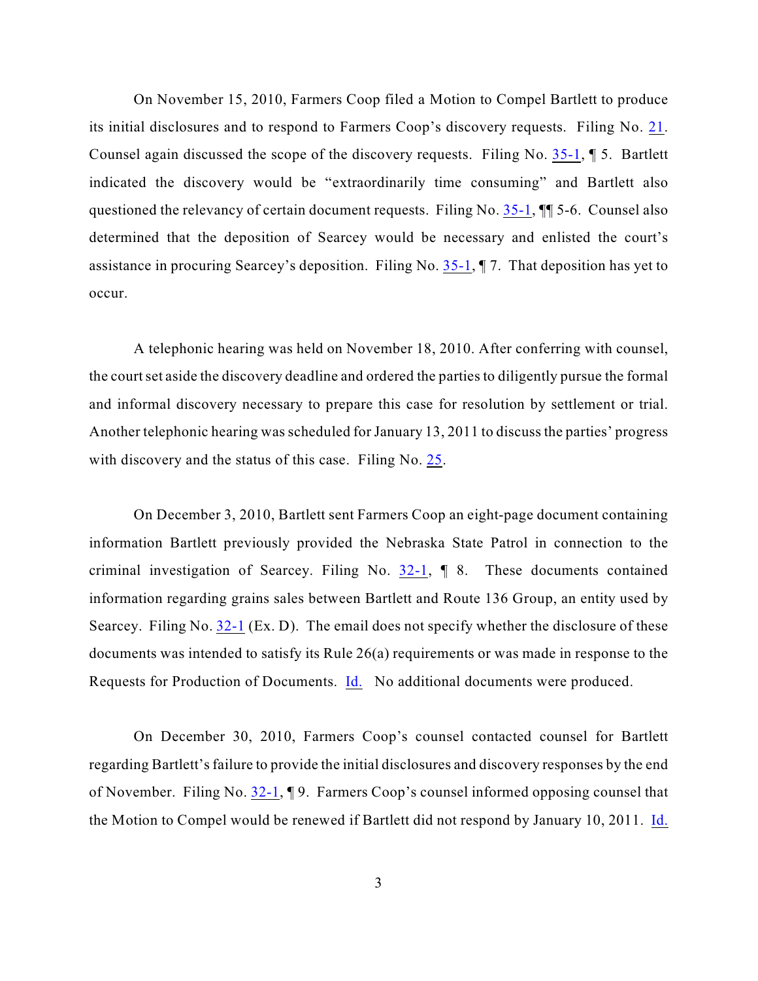On November 15, 2010, Farmers Coop filed a Motion to Compel Bartlett to produce its initial disclosures and to respond to Farmers Coop's discovery requests. Filing No. [21](https://ecf.ned.uscourts.gov/doc1/11312144156). Counsel again discussed the scope of the discovery requests. Filing No. [35-1](https://ecf.ned.uscourts.gov/doc1/11312190073), ¶ 5. Bartlett indicated the discovery would be "extraordinarily time consuming" and Bartlett also questioned the relevancy of certain document requests. Filing No. [35-1](https://ecf.ned.uscourts.gov/doc1/11312190073), ¶¶ 5-6. Counsel also determined that the deposition of Searcey would be necessary and enlisted the court's assistance in procuring Searcey's deposition. Filing No. [35-1](https://ecf.ned.uscourts.gov/doc1/11312190073), ¶ 7. That deposition has yet to occur.

A telephonic hearing was held on November 18, 2010. After conferring with counsel, the court set aside the discovery deadline and ordered the parties to diligently pursue the formal and informal discovery necessary to prepare this case for resolution by settlement or trial. Another telephonic hearing was scheduled for January 13, 2011 to discuss the parties' progress with discovery and the status of this case. Filing No. [25](https://ecf.ned.uscourts.gov/doc1/11312147123).

On December 3, 2010, Bartlett sent Farmers Coop an eight-page document containing information Bartlett previously provided the Nebraska State Patrol in connection to the criminal investigation of Searcey. Filing No.  $32-1$ ,  $\parallel$  8. These documents contained information regarding grains sales between Bartlett and Route 136 Group, an entity used by Searcey. Filing No.  $32-1$  (Ex. D). The email does not specify whether the disclosure of these documents was intended to satisfy its Rule 26(a) requirements or was made in response to the Requests for Production of Documents. [Id.](https://ecf.ned.uscourts.gov/doc1/11312187502) No additional documents were produced.

On December 30, 2010, Farmers Coop's counsel contacted counsel for Bartlett regarding Bartlett's failure to provide the initial disclosures and discovery responses by the end of November. Filing No. [32-1](https://ecf.ned.uscourts.gov/doc1/11312187502), ¶ 9. Farmers Coop's counsel informed opposing counsel that the Motion to Compel would be renewed if Bartlett did not respond by January 10, 2011. [Id.](https://ecf.ned.uscourts.gov/doc1/11312187502)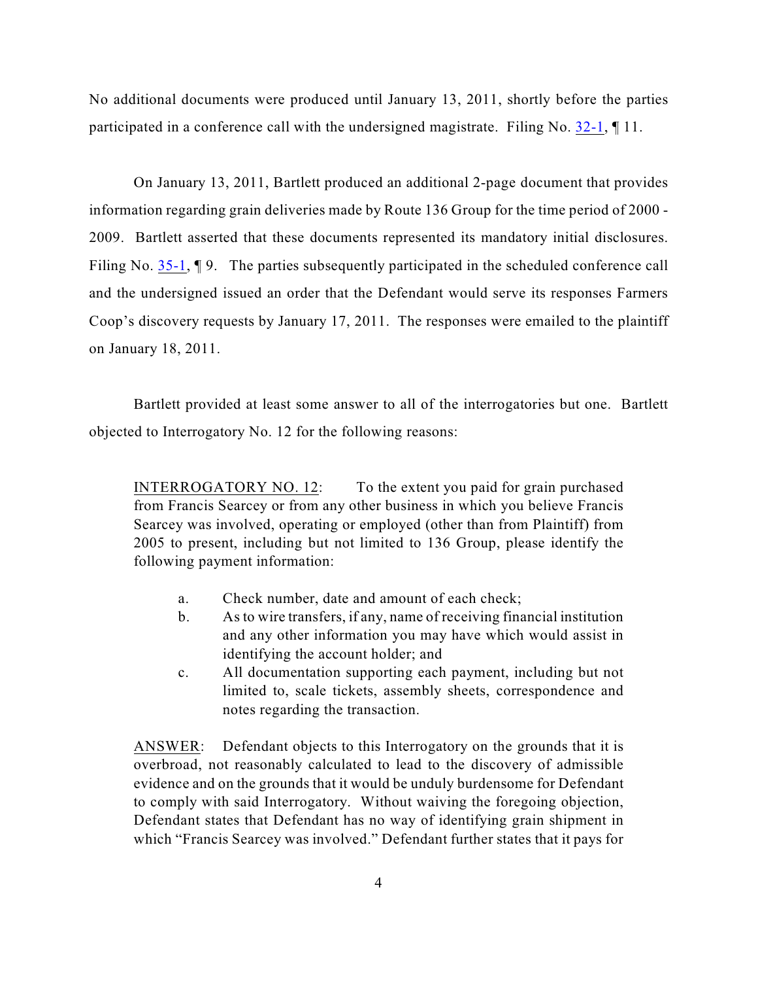No additional documents were produced until January 13, 2011, shortly before the parties participated in a conference call with the undersigned magistrate. Filing No. [32-1](https://ecf.ned.uscourts.gov/doc1/11312187502), ¶ 11.

On January 13, 2011, Bartlett produced an additional 2-page document that provides information regarding grain deliveries made by Route 136 Group for the time period of 2000 - 2009. Bartlett asserted that these documents represented its mandatory initial disclosures. Filing No. [35-1](https://ecf.ned.uscourts.gov/doc1/11312190073),  $\P$  9. The parties subsequently participated in the scheduled conference call and the undersigned issued an order that the Defendant would serve its responses Farmers Coop's discovery requests by January 17, 2011. The responses were emailed to the plaintiff on January 18, 2011.

Bartlett provided at least some answer to all of the interrogatories but one. Bartlett objected to Interrogatory No. 12 for the following reasons:

INTERROGATORY NO. 12: To the extent you paid for grain purchased from Francis Searcey or from any other business in which you believe Francis Searcey was involved, operating or employed (other than from Plaintiff) from 2005 to present, including but not limited to 136 Group, please identify the following payment information:

- a. Check number, date and amount of each check;
- b. As to wire transfers, if any, name of receiving financial institution and any other information you may have which would assist in identifying the account holder; and
- c. All documentation supporting each payment, including but not limited to, scale tickets, assembly sheets, correspondence and notes regarding the transaction.

ANSWER: Defendant objects to this Interrogatory on the grounds that it is overbroad, not reasonably calculated to lead to the discovery of admissible evidence and on the grounds that it would be unduly burdensome for Defendant to comply with said Interrogatory. Without waiving the foregoing objection, Defendant states that Defendant has no way of identifying grain shipment in which "Francis Searcey was involved." Defendant further states that it pays for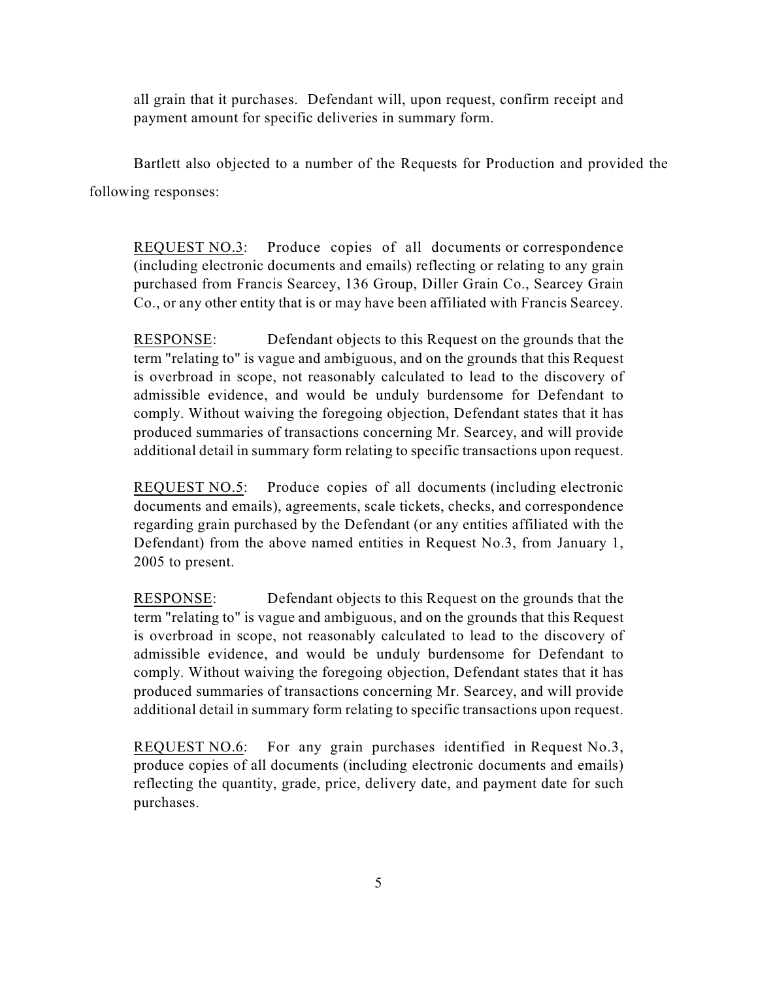all grain that it purchases. Defendant will, upon request, confirm receipt and payment amount for specific deliveries in summary form.

Bartlett also objected to a number of the Requests for Production and provided the following responses:

REQUEST NO.3: Produce copies of all documents or correspondence (including electronic documents and emails) reflecting or relating to any grain purchased from Francis Searcey, 136 Group, Diller Grain Co., Searcey Grain Co., or any other entity that is or may have been affiliated with Francis Searcey.

RESPONSE: Defendant objects to this Request on the grounds that the term "relating to" is vague and ambiguous, and on the grounds that this Request is overbroad in scope, not reasonably calculated to lead to the discovery of admissible evidence, and would be unduly burdensome for Defendant to comply. Without waiving the foregoing objection, Defendant states that it has produced summaries of transactions concerning Mr. Searcey, and will provide additional detail in summary form relating to specific transactions upon request.

REQUEST NO.5: Produce copies of all documents (including electronic documents and emails), agreements, scale tickets, checks, and correspondence regarding grain purchased by the Defendant (or any entities affiliated with the Defendant) from the above named entities in Request No.3, from January 1, 2005 to present.

RESPONSE: Defendant objects to this Request on the grounds that the term "relating to" is vague and ambiguous, and on the grounds that this Request is overbroad in scope, not reasonably calculated to lead to the discovery of admissible evidence, and would be unduly burdensome for Defendant to comply. Without waiving the foregoing objection, Defendant states that it has produced summaries of transactions concerning Mr. Searcey, and will provide additional detail in summary form relating to specific transactions upon request.

REQUEST NO.6: For any grain purchases identified in Request No.3, produce copies of all documents (including electronic documents and emails) reflecting the quantity, grade, price, delivery date, and payment date for such purchases.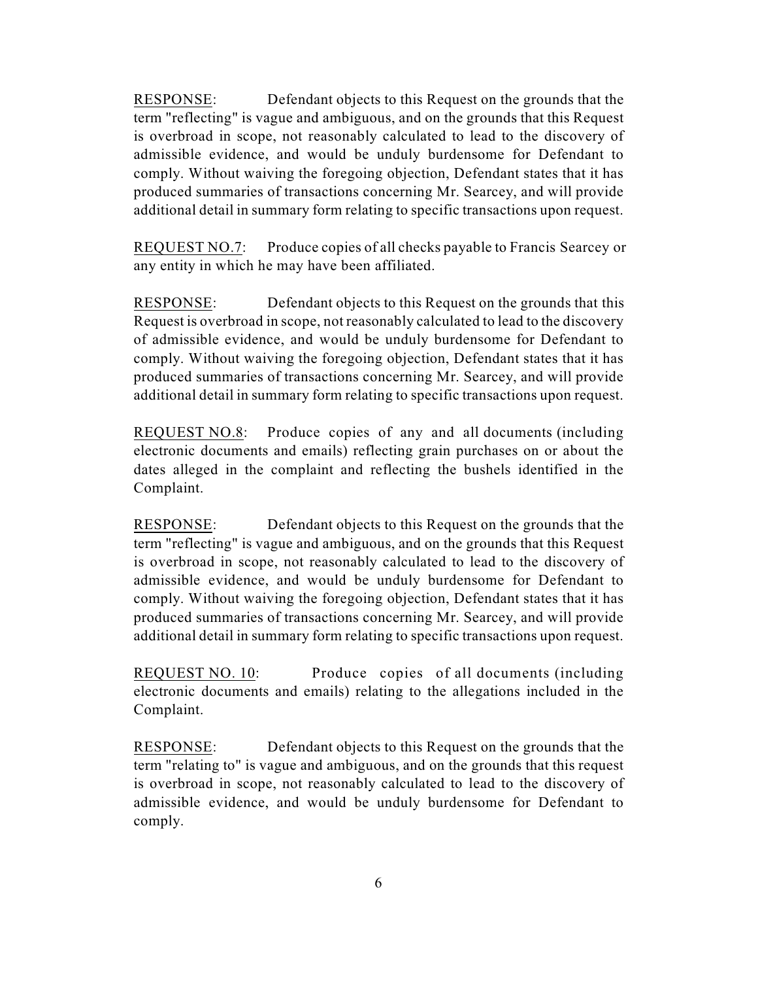RESPONSE: Defendant objects to this Request on the grounds that the term "reflecting" is vague and ambiguous, and on the grounds that this Request is overbroad in scope, not reasonably calculated to lead to the discovery of admissible evidence, and would be unduly burdensome for Defendant to comply. Without waiving the foregoing objection, Defendant states that it has produced summaries of transactions concerning Mr. Searcey, and will provide additional detail in summary form relating to specific transactions upon request.

REQUEST NO.7: Produce copies of all checks payable to Francis Searcey or any entity in which he may have been affiliated.

RESPONSE: Defendant objects to this Request on the grounds that this Request is overbroad in scope, not reasonably calculated to lead to the discovery of admissible evidence, and would be unduly burdensome for Defendant to comply. Without waiving the foregoing objection, Defendant states that it has produced summaries of transactions concerning Mr. Searcey, and will provide additional detail in summary form relating to specific transactions upon request.

REQUEST NO.8: Produce copies of any and all documents (including electronic documents and emails) reflecting grain purchases on or about the dates alleged in the complaint and reflecting the bushels identified in the Complaint.

RESPONSE: Defendant objects to this Request on the grounds that the term "reflecting" is vague and ambiguous, and on the grounds that this Request is overbroad in scope, not reasonably calculated to lead to the discovery of admissible evidence, and would be unduly burdensome for Defendant to comply. Without waiving the foregoing objection, Defendant states that it has produced summaries of transactions concerning Mr. Searcey, and will provide additional detail in summary form relating to specific transactions upon request.

REQUEST NO. 10: Produce copies of all documents (including electronic documents and emails) relating to the allegations included in the Complaint.

RESPONSE: Defendant objects to this Request on the grounds that the term "relating to" is vague and ambiguous, and on the grounds that this request is overbroad in scope, not reasonably calculated to lead to the discovery of admissible evidence, and would be unduly burdensome for Defendant to comply.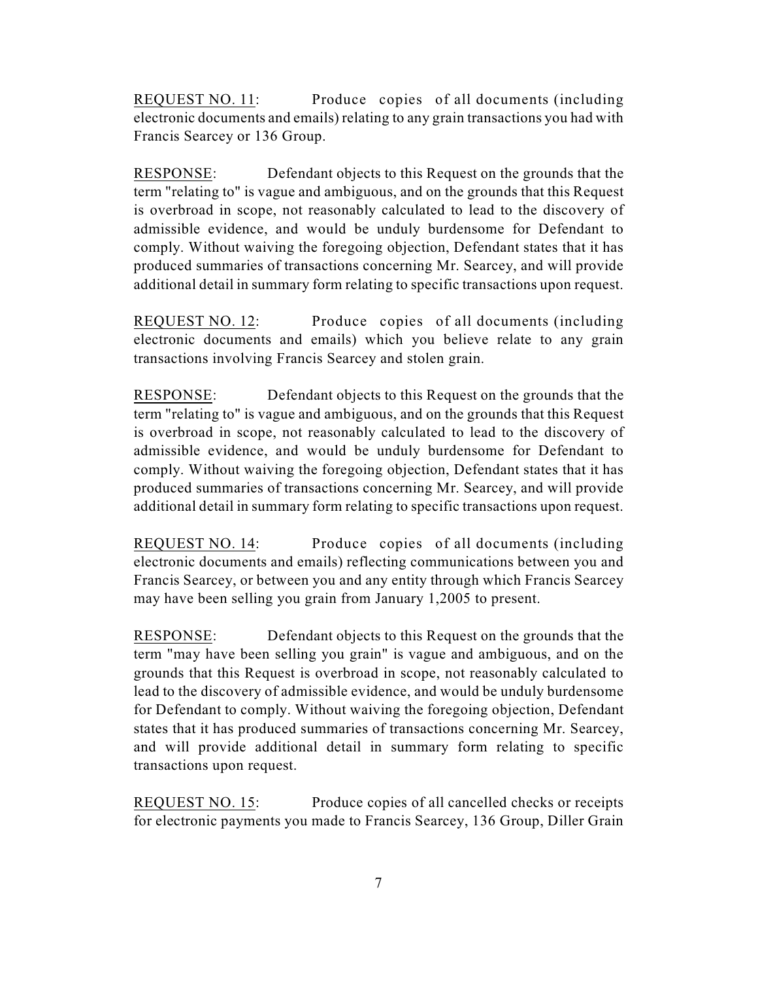REQUEST NO. 11: Produce copies of all documents (including electronic documents and emails) relating to any grain transactions you had with Francis Searcey or 136 Group.

RESPONSE: Defendant objects to this Request on the grounds that the term "relating to" is vague and ambiguous, and on the grounds that this Request is overbroad in scope, not reasonably calculated to lead to the discovery of admissible evidence, and would be unduly burdensome for Defendant to comply. Without waiving the foregoing objection, Defendant states that it has produced summaries of transactions concerning Mr. Searcey, and will provide additional detail in summary form relating to specific transactions upon request.

REQUEST NO. 12: Produce copies of all documents (including electronic documents and emails) which you believe relate to any grain transactions involving Francis Searcey and stolen grain.

RESPONSE: Defendant objects to this Request on the grounds that the term "relating to" is vague and ambiguous, and on the grounds that this Request is overbroad in scope, not reasonably calculated to lead to the discovery of admissible evidence, and would be unduly burdensome for Defendant to comply. Without waiving the foregoing objection, Defendant states that it has produced summaries of transactions concerning Mr. Searcey, and will provide additional detail in summary form relating to specific transactions upon request.

REQUEST NO. 14: Produce copies of all documents (including electronic documents and emails) reflecting communications between you and Francis Searcey, or between you and any entity through which Francis Searcey may have been selling you grain from January 1,2005 to present.

RESPONSE: Defendant objects to this Request on the grounds that the term "may have been selling you grain" is vague and ambiguous, and on the grounds that this Request is overbroad in scope, not reasonably calculated to lead to the discovery of admissible evidence, and would be unduly burdensome for Defendant to comply. Without waiving the foregoing objection, Defendant states that it has produced summaries of transactions concerning Mr. Searcey, and will provide additional detail in summary form relating to specific transactions upon request.

REQUEST NO. 15: Produce copies of all cancelled checks or receipts for electronic payments you made to Francis Searcey, 136 Group, Diller Grain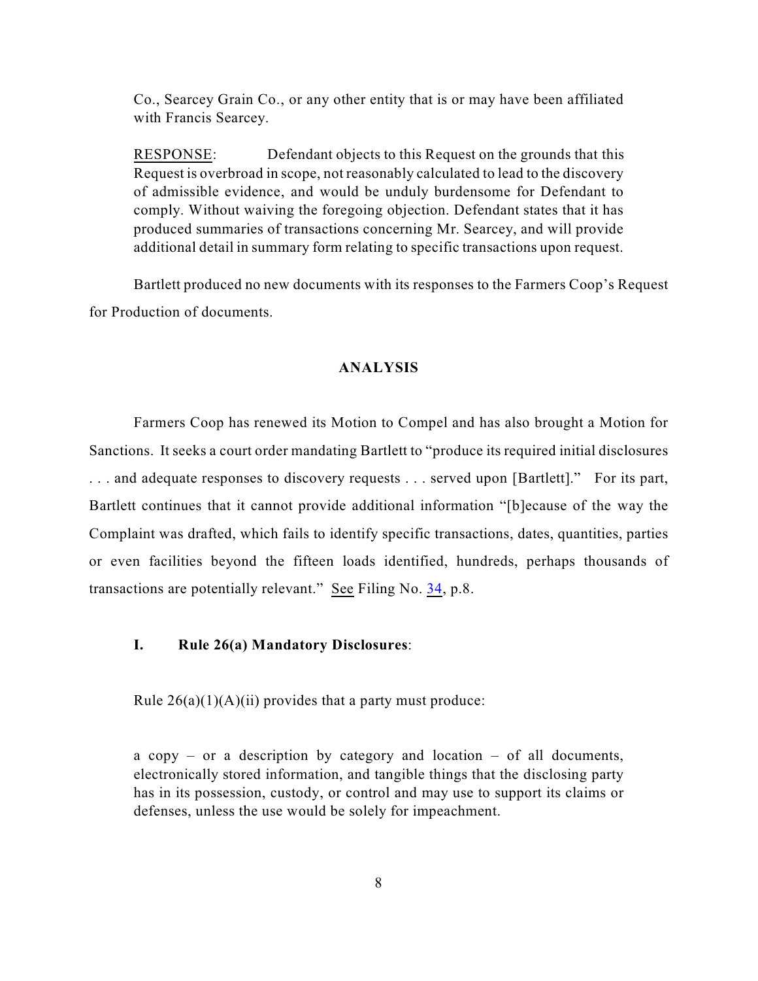Co., Searcey Grain Co., or any other entity that is or may have been affiliated with Francis Searcey.

RESPONSE: Defendant objects to this Request on the grounds that this Request is overbroad in scope, not reasonably calculated to lead to the discovery of admissible evidence, and would be unduly burdensome for Defendant to comply. Without waiving the foregoing objection. Defendant states that it has produced summaries of transactions concerning Mr. Searcey, and will provide additional detail in summary form relating to specific transactions upon request.

Bartlett produced no new documents with its responses to the Farmers Coop's Request for Production of documents.

# **ANALYSIS**

Farmers Coop has renewed its Motion to Compel and has also brought a Motion for Sanctions. It seeks a court order mandating Bartlett to "produce its required initial disclosures . . . and adequate responses to discovery requests . . . served upon [Bartlett]." For its part, Bartlett continues that it cannot provide additional information "[b]ecause of the way the Complaint was drafted, which fails to identify specific transactions, dates, quantities, parties or even facilities beyond the fifteen loads identified, hundreds, perhaps thousands of transactions are potentially relevant." See Filing No. [34](http://ecf.ned.uscourts.gov/doc1/11302190069), p.8.

# **I. Rule 26(a) Mandatory Disclosures**:

Rule  $26(a)(1)(A)(ii)$  provides that a party must produce:

a copy – or a description by category and location – of all documents, electronically stored information, and tangible things that the disclosing party has in its possession, custody, or control and may use to support its claims or defenses, unless the use would be solely for impeachment.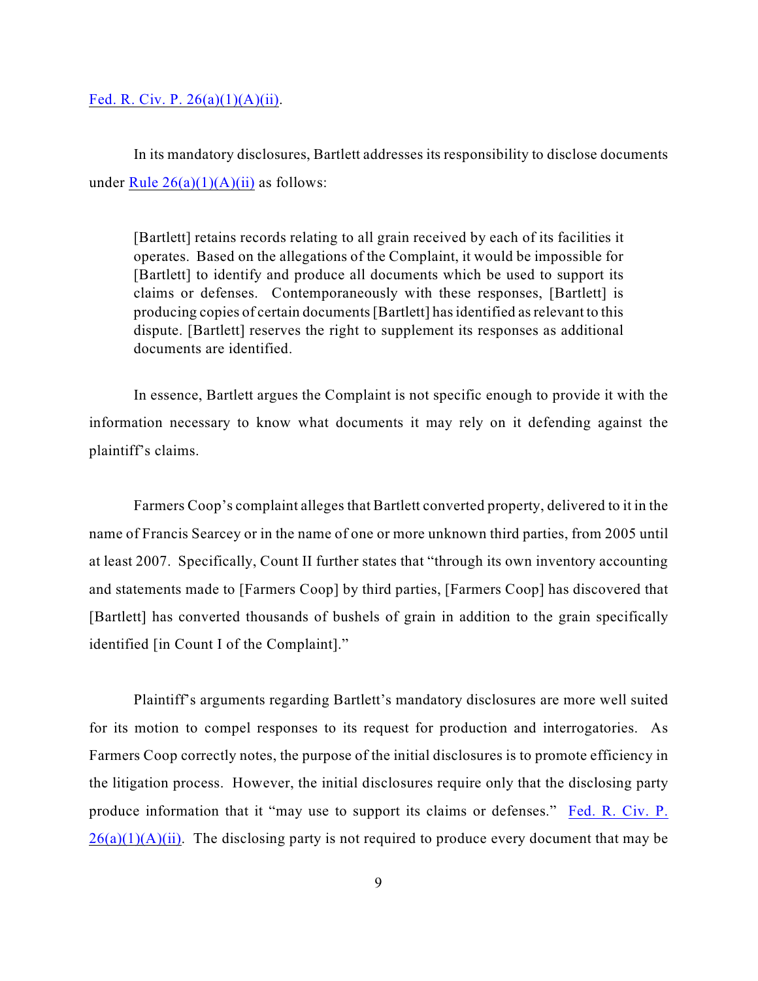#### Fed. R. Civ. P.  $26(a)(1)(A)(ii)$ .

In its mandatory disclosures, Bartlett addresses its responsibility to disclose documents under Rule  $26(a)(1)(A)(ii)$  as follows:

[Bartlett] retains records relating to all grain received by each of its facilities it operates. Based on the allegations of the Complaint, it would be impossible for [Bartlett] to identify and produce all documents which be used to support its claims or defenses. Contemporaneously with these responses, [Bartlett] is producing copies of certain documents [Bartlett] has identified as relevant to this dispute. [Bartlett] reserves the right to supplement its responses as additional documents are identified.

In essence, Bartlett argues the Complaint is not specific enough to provide it with the information necessary to know what documents it may rely on it defending against the plaintiff's claims.

Farmers Coop's complaint alleges that Bartlett converted property, delivered to it in the name of Francis Searcey or in the name of one or more unknown third parties, from 2005 until at least 2007. Specifically, Count II further states that "through its own inventory accounting and statements made to [Farmers Coop] by third parties, [Farmers Coop] has discovered that [Bartlett] has converted thousands of bushels of grain in addition to the grain specifically identified [in Count I of the Complaint]."

Plaintiff's arguments regarding Bartlett's mandatory disclosures are more well suited for its motion to compel responses to its request for production and interrogatories. As Farmers Coop correctly notes, the purpose of the initial disclosures is to promote efficiency in the litigation process. However, the initial disclosures require only that the disclosing party produce information that it "may use to support its claims or defenses." [Fed. R. Civ. P.](http://web2.westlaw.com/find/default.wl?fn=_top&rs=WLW11.01&rp=%2ffind%2fdefault.wl&mt=26&vr=2.0&sv=Split&cite=Fed+r+civ+p.+26)  $26(a)(1)(A)(ii)$ . The disclosing party is not required to produce every document that may be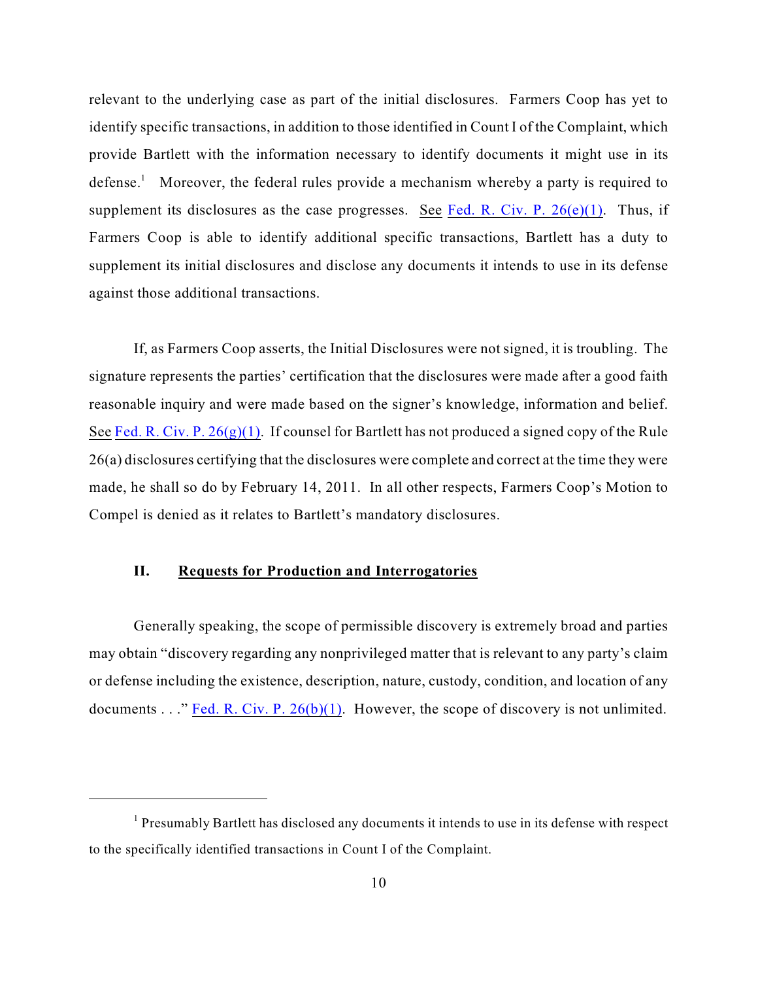relevant to the underlying case as part of the initial disclosures. Farmers Coop has yet to identify specific transactions, in addition to those identified in Count I of the Complaint, which provide Bartlett with the information necessary to identify documents it might use in its defense.<sup>1</sup> Moreover, the federal rules provide a mechanism whereby a party is required to supplement its disclosures as the case progresses. See Fed. R. Civ. P.  $26(e)(1)$ . Thus, if Farmers Coop is able to identify additional specific transactions, Bartlett has a duty to supplement its initial disclosures and disclose any documents it intends to use in its defense against those additional transactions.

If, as Farmers Coop asserts, the Initial Disclosures were not signed, it is troubling. The signature represents the parties' certification that the disclosures were made after a good faith reasonable inquiry and were made based on the signer's knowledge, information and belief. See Fed. R. Civ. P.  $26(g)(1)$ . If counsel for Bartlett has not produced a signed copy of the Rule 26(a) disclosures certifying that the disclosures were complete and correct at the time they were made, he shall so do by February 14, 2011. In all other respects, Farmers Coop's Motion to Compel is denied as it relates to Bartlett's mandatory disclosures.

# **II. Requests for Production and Interrogatories**

Generally speaking, the scope of permissible discovery is extremely broad and parties may obtain "discovery regarding any nonprivileged matter that is relevant to any party's claim or defense including the existence, description, nature, custody, condition, and location of any documents . . ." Fed. R. Civ. P.  $26(b)(1)$ . However, the scope of discovery is not unlimited.

 $<sup>1</sup>$  Presumably Bartlett has disclosed any documents it intends to use in its defense with respect</sup> to the specifically identified transactions in Count I of the Complaint.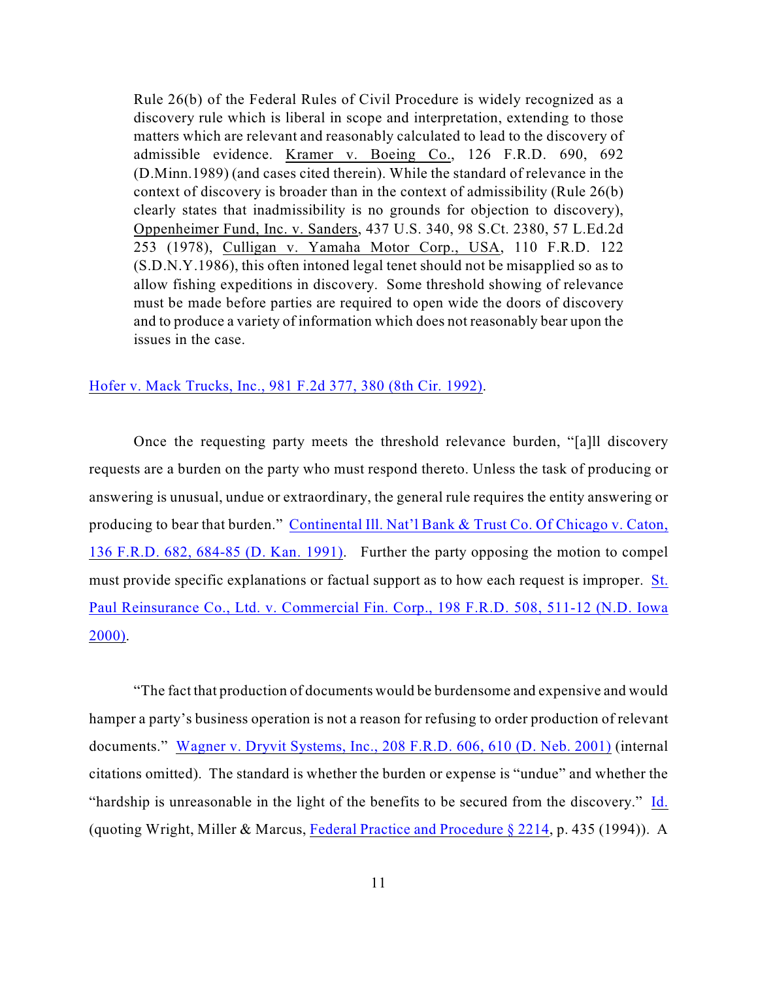Rule 26(b) of the Federal Rules of Civil Procedure is widely recognized as a discovery rule which is liberal in scope and interpretation, extending to those matters which are relevant and reasonably calculated to lead to the discovery of admissible evidence. Kramer v. Boeing Co., 126 F.R.D. 690, 692 (D.Minn.1989) (and cases cited therein). While the standard of relevance in the context of discovery is broader than in the context of admissibility (Rule 26(b) clearly states that inadmissibility is no grounds for objection to discovery), Oppenheimer Fund, Inc. v. Sanders, 437 U.S. 340, 98 S.Ct. 2380, 57 L.Ed.2d 253 (1978), Culligan v. Yamaha Motor Corp., USA, 110 F.R.D. 122 (S.D.N.Y.1986), this often intoned legal tenet should not be misapplied so as to allow fishing expeditions in discovery. Some threshold showing of relevance must be made before parties are required to open wide the doors of discovery and to produce a variety of information which does not reasonably bear upon the issues in the case.

#### [Hofer v. Mack Trucks, Inc., 981 F.2d 377, 380 \(8th Cir. 1992\)](http://www.westlaw.com/find/default.wl?rs=CLWP3.0&vr=2.0&cite=981+F.2d+377).

Once the requesting party meets the threshold relevance burden, "[a]ll discovery requests are a burden on the party who must respond thereto. Unless the task of producing or answering is unusual, undue or extraordinary, the general rule requires the entity answering or producing to bear that burden." Continental [Ill. Nat'l Bank & Trust Co. Of Chicago v. Caton,](http://www.westlaw.com/find/default.wl?rs=CLWP3.0&vr=2.0&cite=136+F.R.D.+682) 136 F.R.D. 682, 684-85 (D. [Kan. 1991\)](http://www.westlaw.com/find/default.wl?rs=CLWP3.0&vr=2.0&cite=136+F.R.D.+682). Further the party opposing the motion to compel must provide specific explanations or factual support as to how each request is improper. [St.](http://www.westlaw.com/find/default.wl?rs=CLWP3.0&vr=2.0&cite=198+F.R.D.+508) [Paul Reinsurance Co., Ltd. v. Commercial Fin. Corp., 198 F.R.D. 508, 511-12 \(N.D. Iowa](http://www.westlaw.com/find/default.wl?rs=CLWP3.0&vr=2.0&cite=198+F.R.D.+508) [2000\)](http://www.westlaw.com/find/default.wl?rs=CLWP3.0&vr=2.0&cite=198+F.R.D.+508).

"The fact that production of documents would be burdensome and expensive and would hamper a party's business operation is not a reason for refusing to order production of relevant documents." Wagner v. Dryvit Systems, Inc., 208 F.R.D. 606, 610 (D. [Neb. 2001\)](http://www.westlaw.com/find/default.wl?rs=CLWP3.0&vr=2.0&cite=208+F.R.D.+606) (internal citations omitted). The standard is whether the burden or expense is "undue" and whether the "hardship is unreasonable in the light of the benefits to be secured from the discovery." [Id.](http://www.westlaw.com/find/default.wl?rs=CLWP3.0&vr=2.0&cite=208+F.R.D.+606) (quoting Wright, Miller & Marcus, [Federal Practice and Procedure § 2214](http://www.westlaw.com/find/default.wl?rs=CLWP3.0&vr=2.0&cite=FPP+s+2214), p. 435 (1994)). A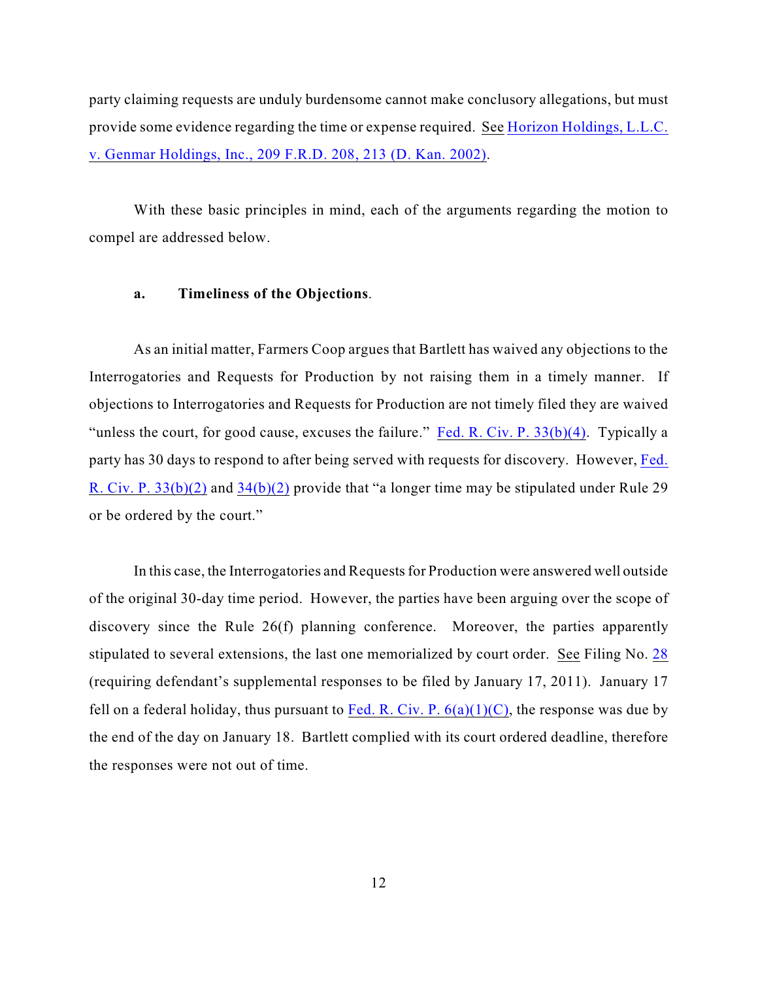party claiming requests are unduly burdensome cannot make conclusory allegations, but must provide some evidence regarding the time or expense required. See [Horizon Holdings, L.L.C.](http://www.westlaw.com/find/default.wl?rs=CLWP3.0&vr=2.0&cite=209+F.R.D.+208) [v. Genmar Holdings, Inc., 209 F.R.D. 208, 213 \(D. Kan. 2002\)](http://www.westlaw.com/find/default.wl?rs=CLWP3.0&vr=2.0&cite=209+F.R.D.+208).

With these basic principles in mind, each of the arguments regarding the motion to compel are addressed below.

#### **a. Timeliness of the Objections**.

As an initial matter, Farmers Coop argues that Bartlett has waived any objections to the Interrogatories and Requests for Production by not raising them in a timely manner. If objections to Interrogatories and Requests for Production are not timely filed they are waived "unless the court, for good cause, excuses the failure." Fed. R. Civ. P.  $33(b)(4)$ . Typically a party has 30 days to respond to after being served with requests for discovery. However, [Fed.](http://web2.westlaw.com/find/default.wl?fn=_top&rs=WLW11.01&rp=%2ffind%2fdefault.wl&mt=26&vr=2.0&sv=Split&cite=Fed.+r.+civ+p+33) [R. Civ. P. 33\(b\)\(2\)](http://web2.westlaw.com/find/default.wl?fn=_top&rs=WLW11.01&rp=%2ffind%2fdefault.wl&mt=26&vr=2.0&sv=Split&cite=Fed.+r.+civ+p+33) and [34\(b\)\(2\)](http://web2.westlaw.com/result/default.wl?scxt=WL&tf=0&elmap=Inline&fn=_top&mt=26&rs=WLW11.01&cite=Fed.+r.+civ+p+33&cxt=DC&action=DODIS&vr=2.0&candisnum=1&sv=Split&cnt=DOC&disnav=NEXT&ss=CNT&service=Find&rlt=CLID_FQRLT2431428111782&rp=%2fFind%2fdefault.w) provide that "a longer time may be stipulated under Rule 29 or be ordered by the court."

In this case, the Interrogatories and Requests for Production were answered well outside of the original 30-day time period. However, the parties have been arguing over the scope of discovery since the Rule 26(f) planning conference. Moreover, the parties apparently stipulated to several extensions, the last one memorialized by court order. See Filing No. [28](http://ecf.ned.uscourts.gov/doc1/11302183344) (requiring defendant's supplemental responses to be filed by January 17, 2011). January 17 fell on a federal holiday, thus pursuant to Fed. R. Civ. P.  $6(a)(1)(C)$ , the response was due by the end of the day on January 18. Bartlett complied with its court ordered deadline, therefore the responses were not out of time.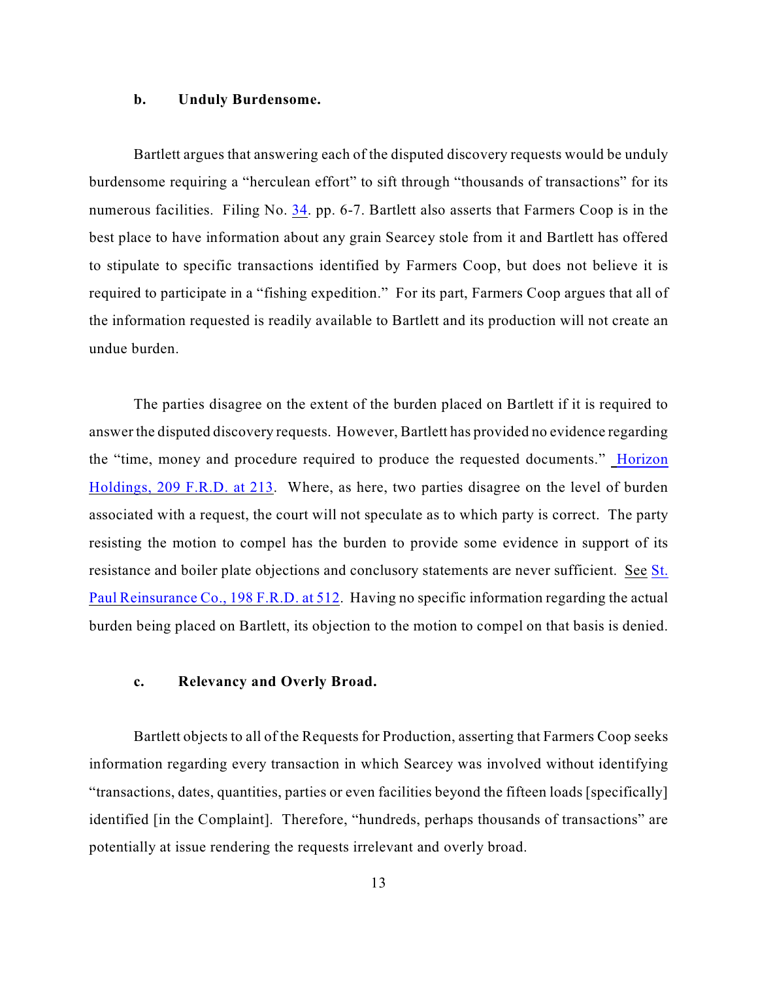#### **b. Unduly Burdensome.**

Bartlett argues that answering each of the disputed discovery requests would be unduly burdensome requiring a "herculean effort" to sift through "thousands of transactions" for its numerous facilities. Filing No. [34](http://ecf.ned.uscourts.gov/doc1/11302190069). pp. 6-7. Bartlett also asserts that Farmers Coop is in the best place to have information about any grain Searcey stole from it and Bartlett has offered to stipulate to specific transactions identified by Farmers Coop, but does not believe it is required to participate in a "fishing expedition." For its part, Farmers Coop argues that all of the information requested is readily available to Bartlett and its production will not create an undue burden.

The parties disagree on the extent of the burden placed on Bartlett if it is required to answer the disputed discovery requests. However, Bartlett has provided no evidence regarding the "time, money and procedure required to produce the requested documents." [Horizon](http://www.westlaw.com/find/default.wl?rs=CLWP3.0&vr=2.0&cite=209+F.R.D.+213) [Holdings, 209 F.R.D. at 213](http://www.westlaw.com/find/default.wl?rs=CLWP3.0&vr=2.0&cite=209+F.R.D.+213). Where, as here, two parties disagree on the level of burden associated with a request, the court will not speculate as to which party is correct. The party resisting the motion to compel has the burden to provide some evidence in support of its resistance and boiler plate objections and conclusory statements are never sufficient. See [St.](http://www.westlaw.com/find/default.wl?rs=CLWP3.0&vr=2.0&cite=198+F.R.D.+512) Paul [Reinsurance Co., 198 F.R.D. at 512](http://www.westlaw.com/find/default.wl?rs=CLWP3.0&vr=2.0&cite=198+F.R.D.+512). Having no specific information regarding the actual burden being placed on Bartlett, its objection to the motion to compel on that basis is denied.

### **c. Relevancy and Overly Broad.**

Bartlett objects to all of the Requests for Production, asserting that Farmers Coop seeks information regarding every transaction in which Searcey was involved without identifying "transactions, dates, quantities, parties or even facilities beyond the fifteen loads [specifically] identified [in the Complaint]. Therefore, "hundreds, perhaps thousands of transactions" are potentially at issue rendering the requests irrelevant and overly broad.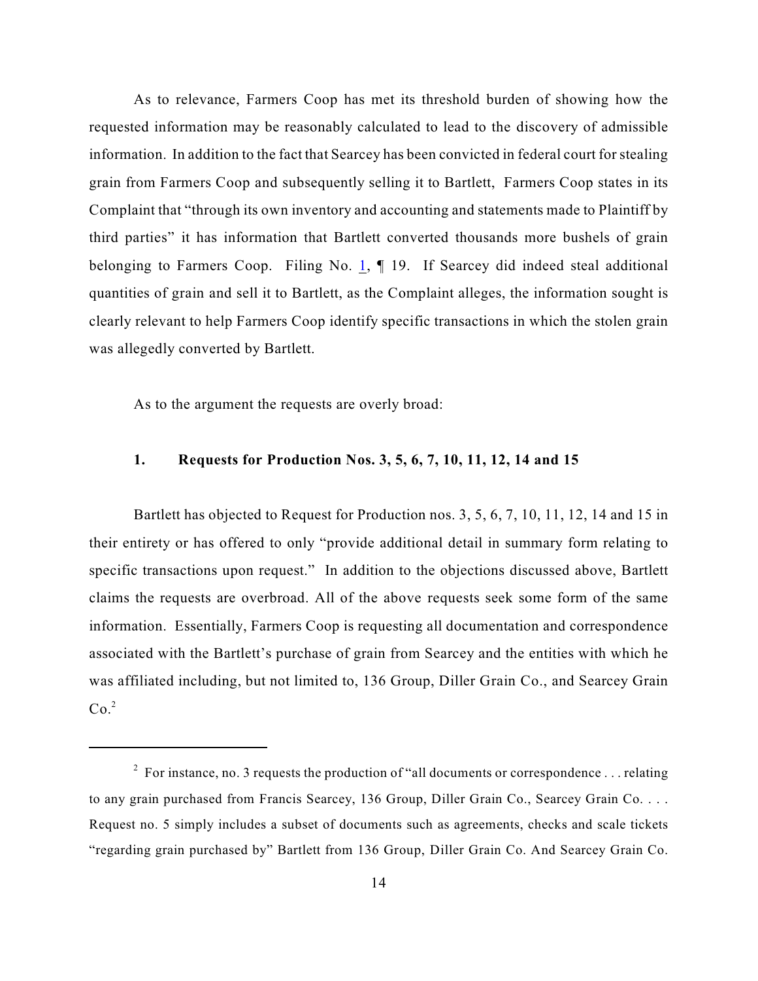As to relevance, Farmers Coop has met its threshold burden of showing how the requested information may be reasonably calculated to lead to the discovery of admissible information. In addition to the fact that Searcey has been convicted in federal court for stealing grain from Farmers Coop and subsequently selling it to Bartlett, Farmers Coop states in its Complaint that "through its own inventory and accounting and statements made to Plaintiff by third parties" it has information that Bartlett converted thousands more bushels of grain belonging to Farmers Coop. Filing No. [1](https://ecf.ned.uscourts.gov/doc1/11311901317), 19. If Searcey did indeed steal additional quantities of grain and sell it to Bartlett, as the Complaint alleges, the information sought is clearly relevant to help Farmers Coop identify specific transactions in which the stolen grain was allegedly converted by Bartlett.

As to the argument the requests are overly broad:

## **1. Requests for Production Nos. 3, 5, 6, 7, 10, 11, 12, 14 and 15**

Bartlett has objected to Request for Production nos. 3, 5, 6, 7, 10, 11, 12, 14 and 15 in their entirety or has offered to only "provide additional detail in summary form relating to specific transactions upon request." In addition to the objections discussed above, Bartlett claims the requests are overbroad. All of the above requests seek some form of the same information. Essentially, Farmers Coop is requesting all documentation and correspondence associated with the Bartlett's purchase of grain from Searcey and the entities with which he was affiliated including, but not limited to, 136 Group, Diller Grain Co., and Searcey Grain  $Co.^2$ 

<sup>&</sup>lt;sup>2</sup> For instance, no. 3 requests the production of "all documents or correspondence . . . relating to any grain purchased from Francis Searcey, 136 Group, Diller Grain Co., Searcey Grain Co. . . . Request no. 5 simply includes a subset of documents such as agreements, checks and scale tickets "regarding grain purchased by" Bartlett from 136 Group, Diller Grain Co. And Searcey Grain Co.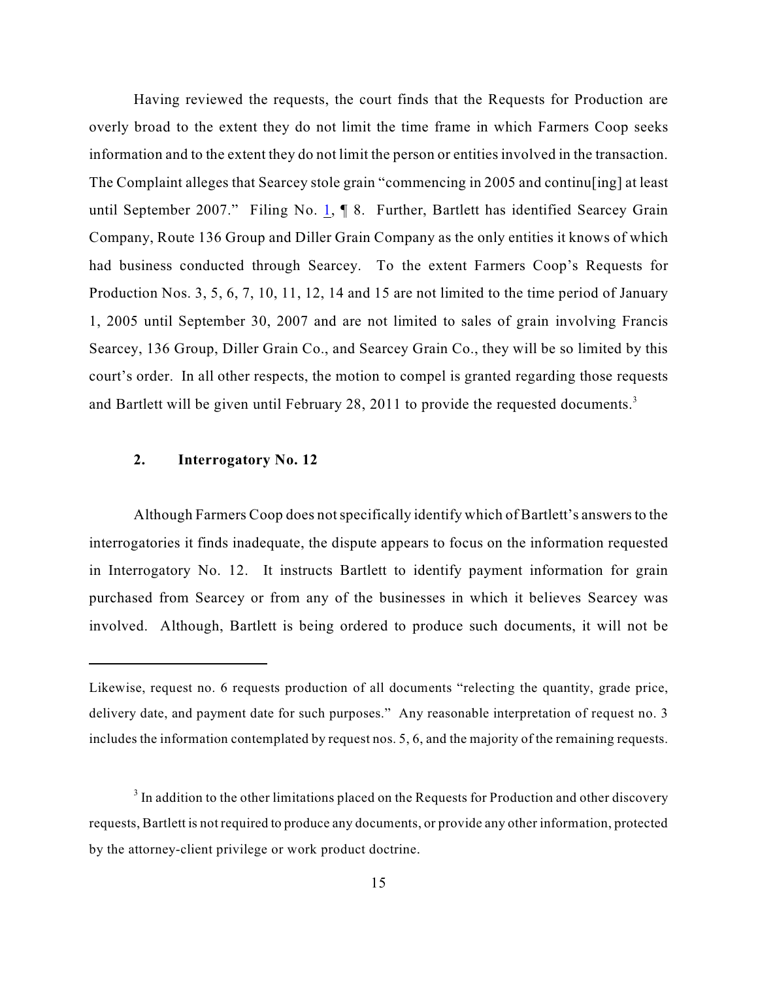Having reviewed the requests, the court finds that the Requests for Production are overly broad to the extent they do not limit the time frame in which Farmers Coop seeks information and to the extent they do not limit the person or entities involved in the transaction. The Complaint alleges that Searcey stole grain "commencing in 2005 and continu[ing] at least until September 2007." Filing No.  $1, \P$  $1, \P$  8. Further, Bartlett has identified Searcey Grain Company, Route 136 Group and Diller Grain Company as the only entities it knows of which had business conducted through Searcey. To the extent Farmers Coop's Requests for Production Nos. 3, 5, 6, 7, 10, 11, 12, 14 and 15 are not limited to the time period of January 1, 2005 until September 30, 2007 and are not limited to sales of grain involving Francis Searcey, 136 Group, Diller Grain Co., and Searcey Grain Co., they will be so limited by this court's order. In all other respects, the motion to compel is granted regarding those requests and Bartlett will be given until February 28, 2011 to provide the requested documents.<sup>3</sup>

#### **2. Interrogatory No. 12**

Although Farmers Coop does not specifically identify which of Bartlett's answers to the interrogatories it finds inadequate, the dispute appears to focus on the information requested in Interrogatory No. 12. It instructs Bartlett to identify payment information for grain purchased from Searcey or from any of the businesses in which it believes Searcey was involved. Although, Bartlett is being ordered to produce such documents, it will not be

Likewise, request no. 6 requests production of all documents "relecting the quantity, grade price, delivery date, and payment date for such purposes." Any reasonable interpretation of request no. 3 includes the information contemplated by request nos. 5, 6, and the majority of the remaining requests.

 $3$  In addition to the other limitations placed on the Requests for Production and other discovery requests, Bartlett is not required to produce any documents, or provide any other information, protected by the attorney-client privilege or work product doctrine.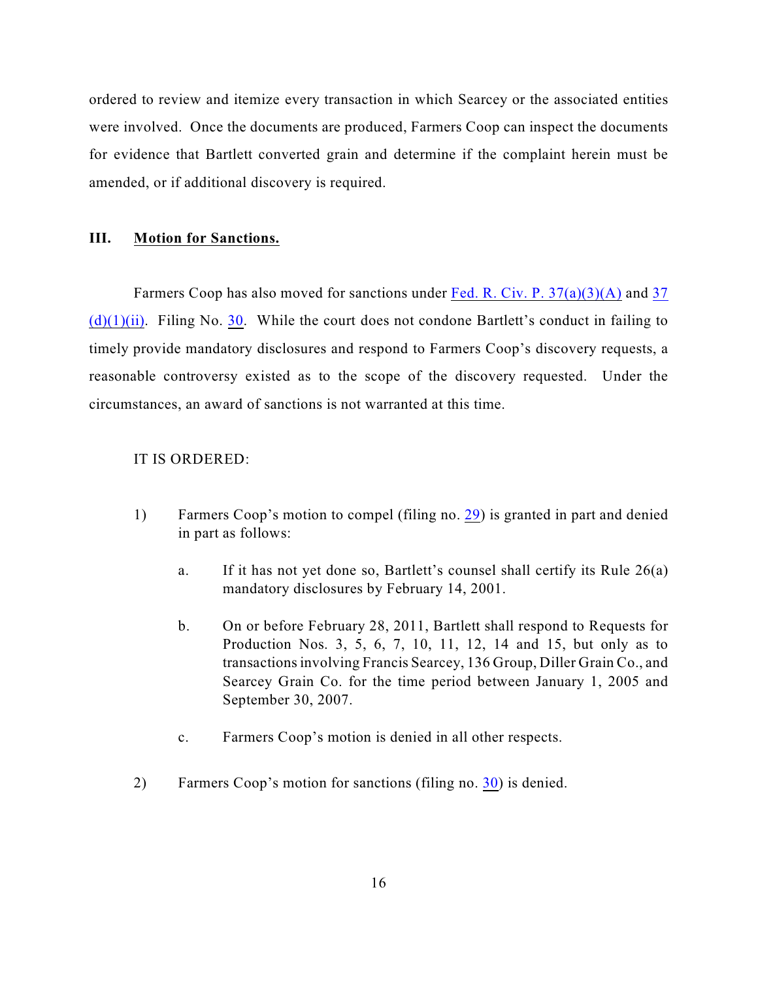ordered to review and itemize every transaction in which Searcey or the associated entities were involved. Once the documents are produced, Farmers Coop can inspect the documents for evidence that Bartlett converted grain and determine if the complaint herein must be amended, or if additional discovery is required.

### **III. Motion for Sanctions.**

Farmers Coop has also moved for sanctions under Fed. R. [Civ. P. 37\(a\)\(3\)\(A\)](http://web2.westlaw.com/find/default.wl?fn=_top&rs=WLW11.01&rp=%2ffind%2fdefault.wl&vr=2.0&cite=Fed.+r.+civ.+p.+37) and [37](http://web2.westlaw.com/find/default.wl?bhcp=1&cite=Fed%2E+r%2E+civ%2E+p%2E+37&fn=%5Ftop&rs=WLW11%2E01&ssl=y&strRecreate=no&sv=Split&vr=2%2E0)  $(d)(1)(ii)$ . Filing No. [30](http://ecf.ned.uscourts.gov/doc1/11302187433). While the court does not condone Bartlett's conduct in failing to timely provide mandatory disclosures and respond to Farmers Coop's discovery requests, a reasonable controversy existed as to the scope of the discovery requested. Under the circumstances, an award of sanctions is not warranted at this time.

## IT IS ORDERED:

- 1) Farmers Coop's motion to compel (filing no. [29](http://ecf.ned.uscourts.gov/doc1/11302187413)) is granted in part and denied in part as follows:
	- a. If it has not yet done so, Bartlett's counsel shall certify its Rule 26(a) mandatory disclosures by February 14, 2001.
	- b. On or before February 28, 2011, Bartlett shall respond to Requests for Production Nos. 3, 5, 6, 7, 10, 11, 12, 14 and 15, but only as to transactions involving Francis Searcey, 136 Group, Diller Grain Co., and Searcey Grain Co. for the time period between January 1, 2005 and September 30, 2007.
	- c. Farmers Coop's motion is denied in all other respects.
- 2) Farmers Coop's motion for sanctions (filing no. [30](http://ecf.ned.uscourts.gov/doc1/11302187433)) is denied.